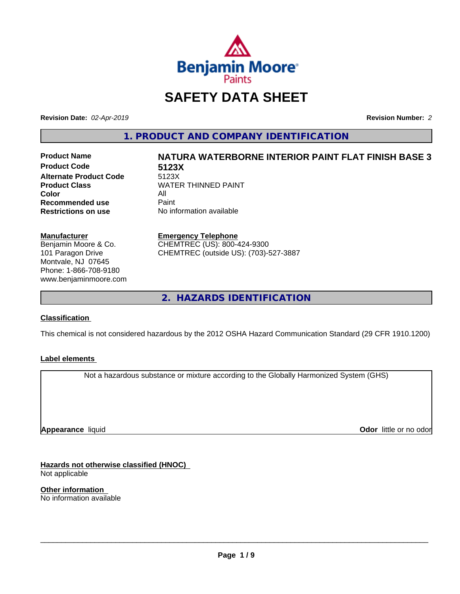

# **SAFETY DATA SHEET**

**Revision Date:** *02-Apr-2019* **Revision Number:** *2*

**1. PRODUCT AND COMPANY IDENTIFICATION**

**Product Code 5123X Alternate Product Code**<br>Product Class **Color** All All<br>**Recommended use** Paint **Recommended use**<br>Restrictions on use

# **Product Name NATURA WATERBORNE INTERIOR PAINT FLAT FINISH BASE 3 WATER THINNED PAINT**

**No information available** 

### **Manufacturer**

Benjamin Moore & Co. 101 Paragon Drive Montvale, NJ 07645 Phone: 1-866-708-9180 www.benjaminmoore.com

### **Emergency Telephone**

CHEMTREC (US): 800-424-9300 CHEMTREC (outside US): (703)-527-3887

**2. HAZARDS IDENTIFICATION**

### **Classification**

This chemical is not considered hazardous by the 2012 OSHA Hazard Communication Standard (29 CFR 1910.1200)

### **Label elements**

Not a hazardous substance or mixture according to the Globally Harmonized System (GHS)

**Appearance** liquid

**Odor** little or no odor

**Hazards not otherwise classified (HNOC)** Not applicable

**Other information** No information available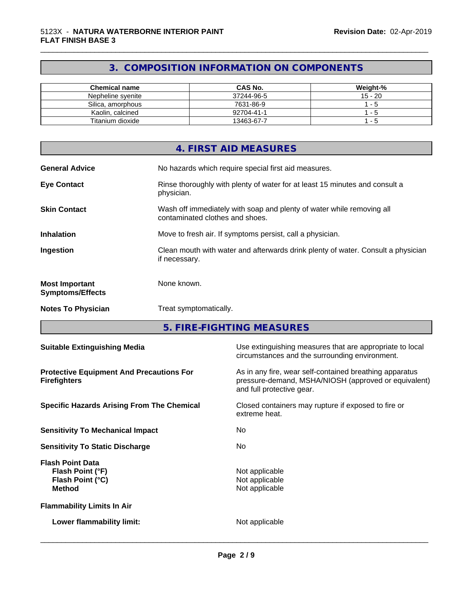# **3. COMPOSITION INFORMATION ON COMPONENTS**

\_\_\_\_\_\_\_\_\_\_\_\_\_\_\_\_\_\_\_\_\_\_\_\_\_\_\_\_\_\_\_\_\_\_\_\_\_\_\_\_\_\_\_\_\_\_\_\_\_\_\_\_\_\_\_\_\_\_\_\_\_\_\_\_\_\_\_\_\_\_\_\_\_\_\_\_\_\_\_\_\_\_\_\_\_\_\_\_\_\_\_\_\_

| Chemical name     | <b>CAS No.</b> | Weight-%  |
|-------------------|----------------|-----------|
| Nepheline svenite | 37244-96-5     | $15 - 20$ |
| Silica, amorphous | 7631-86-9      | - 5       |
| Kaolin, calcined  | 92704-41-1     | - 5       |
| Titanium dioxide  | 13463-67-7     | - 5       |

|                                                  | 4. FIRST AID MEASURES                                                                                    |
|--------------------------------------------------|----------------------------------------------------------------------------------------------------------|
| <b>General Advice</b>                            | No hazards which require special first aid measures.                                                     |
| <b>Eye Contact</b>                               | Rinse thoroughly with plenty of water for at least 15 minutes and consult a<br>physician.                |
| <b>Skin Contact</b>                              | Wash off immediately with soap and plenty of water while removing all<br>contaminated clothes and shoes. |
| <b>Inhalation</b>                                | Move to fresh air. If symptoms persist, call a physician.                                                |
| Ingestion                                        | Clean mouth with water and afterwards drink plenty of water. Consult a physician<br>if necessary.        |
| <b>Most Important</b><br><b>Symptoms/Effects</b> | None known.                                                                                              |
| <b>Notes To Physician</b>                        | Treat symptomatically.                                                                                   |

**5. FIRE-FIGHTING MEASURES**

| <b>Suitable Extinguishing Media</b>                                              | Use extinguishing measures that are appropriate to local<br>circumstances and the surrounding environment.                                   |
|----------------------------------------------------------------------------------|----------------------------------------------------------------------------------------------------------------------------------------------|
| <b>Protective Equipment And Precautions For</b><br><b>Firefighters</b>           | As in any fire, wear self-contained breathing apparatus<br>pressure-demand, MSHA/NIOSH (approved or equivalent)<br>and full protective gear. |
| <b>Specific Hazards Arising From The Chemical</b>                                | Closed containers may rupture if exposed to fire or<br>extreme heat.                                                                         |
| <b>Sensitivity To Mechanical Impact</b>                                          | No.                                                                                                                                          |
| <b>Sensitivity To Static Discharge</b>                                           | No.                                                                                                                                          |
| <b>Flash Point Data</b><br>Flash Point (°F)<br>Flash Point (°C)<br><b>Method</b> | Not applicable<br>Not applicable<br>Not applicable                                                                                           |
| <b>Flammability Limits In Air</b>                                                |                                                                                                                                              |
| Lower flammability limit:                                                        | Not applicable                                                                                                                               |
|                                                                                  |                                                                                                                                              |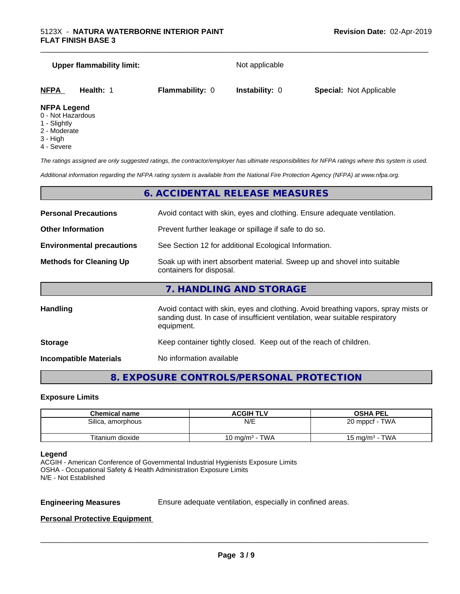# **Upper flammability limit:** Not applicable **NFPA Health:** 1 **Flammability:** 0 **Instability:** 0 **Special:** Not Applicable

### **NFPA Legend**

- 0 Not Hazardous
- 1 Slightly
- 2 Moderate
- 3 High
- 4 Severe

*The ratings assigned are only suggested ratings, the contractor/employer has ultimate responsibilities for NFPA ratings where this system is used.*

\_\_\_\_\_\_\_\_\_\_\_\_\_\_\_\_\_\_\_\_\_\_\_\_\_\_\_\_\_\_\_\_\_\_\_\_\_\_\_\_\_\_\_\_\_\_\_\_\_\_\_\_\_\_\_\_\_\_\_\_\_\_\_\_\_\_\_\_\_\_\_\_\_\_\_\_\_\_\_\_\_\_\_\_\_\_\_\_\_\_\_\_\_

*Additional information regarding the NFPA rating system is available from the National Fire Protection Agency (NFPA) at www.nfpa.org.*

### **6. ACCIDENTAL RELEASE MEASURES**

| <b>Personal Precautions</b>      | Avoid contact with skin, eyes and clothing. Ensure adequate ventilation.                                                                                                         |
|----------------------------------|----------------------------------------------------------------------------------------------------------------------------------------------------------------------------------|
| <b>Other Information</b>         | Prevent further leakage or spillage if safe to do so.                                                                                                                            |
| <b>Environmental precautions</b> | See Section 12 for additional Ecological Information.                                                                                                                            |
| <b>Methods for Cleaning Up</b>   | Soak up with inert absorbent material. Sweep up and shovel into suitable<br>containers for disposal.                                                                             |
|                                  | 7. HANDLING AND STORAGE                                                                                                                                                          |
| Handling                         | Avoid contact with skin, eyes and clothing. Avoid breathing vapors, spray mists or<br>sanding dust. In case of insufficient ventilation, wear suitable respiratory<br>equipment. |
| <b>Storage</b>                   | Keep container tightly closed. Keep out of the reach of children.                                                                                                                |

**Incompatible Materials** No information available

### **8. EXPOSURE CONTROLS/PERSONAL PROTECTION**

### **Exposure Limits**

| <b>Chemical name</b> | <b>ACGIH TLV</b>           | <b>OSHA PEL</b>   |
|----------------------|----------------------------|-------------------|
| Silica, amorphous    | N/E                        | 20 mppcf - TWA    |
| Titanium dioxide     | 10 ma/m <sup>3</sup> - TWA | 15 mg/m $3$ - TWA |

### **Legend**

ACGIH - American Conference of Governmental Industrial Hygienists Exposure Limits OSHA - Occupational Safety & Health Administration Exposure Limits N/E - Not Established

**Engineering Measures** Ensure adequate ventilation, especially in confined areas.

 $\overline{\phantom{a}}$  ,  $\overline{\phantom{a}}$  ,  $\overline{\phantom{a}}$  ,  $\overline{\phantom{a}}$  ,  $\overline{\phantom{a}}$  ,  $\overline{\phantom{a}}$  ,  $\overline{\phantom{a}}$  ,  $\overline{\phantom{a}}$  ,  $\overline{\phantom{a}}$  ,  $\overline{\phantom{a}}$  ,  $\overline{\phantom{a}}$  ,  $\overline{\phantom{a}}$  ,  $\overline{\phantom{a}}$  ,  $\overline{\phantom{a}}$  ,  $\overline{\phantom{a}}$  ,  $\overline{\phantom{a}}$ 

### **Personal Protective Equipment**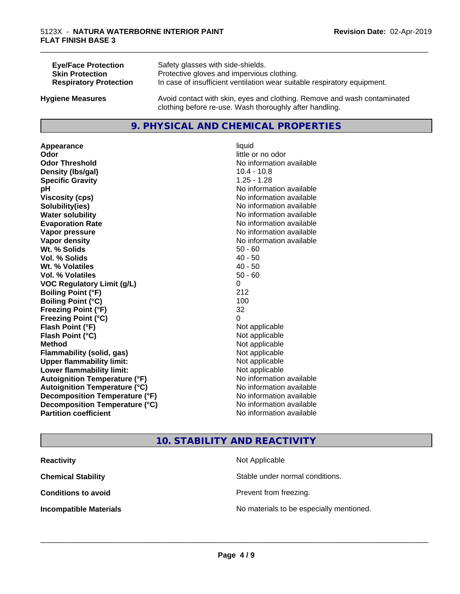| <b>Eye/Face Protection</b>    | Safety glasses with side-shields.                                        |
|-------------------------------|--------------------------------------------------------------------------|
| <b>Skin Protection</b>        | Protective gloves and impervious clothing.                               |
| <b>Respiratory Protection</b> | In case of insufficient ventilation wear suitable respiratory equipment. |
| <b>Hygiene Measures</b>       | Avoid contact with skin, eyes and clothing. Remove and wash contaminated |

### **9. PHYSICAL AND CHEMICAL PROPERTIES**

clothing before re-use. Wash thoroughly after handling.

**Appearance** liquid **Odor** little or no odor **Odor Threshold No information available No information available Density (Ibs/gal)** 10.4 - 10.8 **Specific Gravity** 1.25 - 1.28 **pH** No information available **Viscosity (cps)** No information available **Solubility(ies)** No information available **Water solubility Water solubility Water solubility Water solubility Water solubility Water solution Evaporation Rate No information available No information available Vapor pressure** No information available **No information** available **Vapor density Vapor density No information available Wt.** % Solids 50 - 60 **Vol. % Solids** 40 - 50 **Wt. % Volatiles** 40 - 50 **Vol. % Volatiles** 50 - 60 **VOC Regulatory Limit (g/L)** 0 **Boiling Point (°F)** 212 **Boiling Point (°C)** 100 **Freezing Point (°F)** 32 **Freezing Point (°C)** 0 **Flash Point (°F)**<br> **Flash Point (°C)**<br> **Flash Point (°C)**<br> **Point (°C) Flash Point (°C) Method** Not applicable **Flammability (solid, gas)** Not applicable **Upper flammability limit:** Not applicable **Lower flammability limit:** Not applicable **Autoignition Temperature (°F)** No information available **Autoignition Temperature (°C)** No information available **Decomposition Temperature (°F)** No information available **Decomposition Temperature (°C)**<br> **Partition coefficient Partition coefficient 1 Partition available No information available** 

# **No information available**

\_\_\_\_\_\_\_\_\_\_\_\_\_\_\_\_\_\_\_\_\_\_\_\_\_\_\_\_\_\_\_\_\_\_\_\_\_\_\_\_\_\_\_\_\_\_\_\_\_\_\_\_\_\_\_\_\_\_\_\_\_\_\_\_\_\_\_\_\_\_\_\_\_\_\_\_\_\_\_\_\_\_\_\_\_\_\_\_\_\_\_\_\_

### **10. STABILITY AND REACTIVITY**

| <b>Reactivity</b>             | Not Applicable                           |
|-------------------------------|------------------------------------------|
| <b>Chemical Stability</b>     | Stable under normal conditions.          |
| <b>Conditions to avoid</b>    | Prevent from freezing.                   |
| <b>Incompatible Materials</b> | No materials to be especially mentioned. |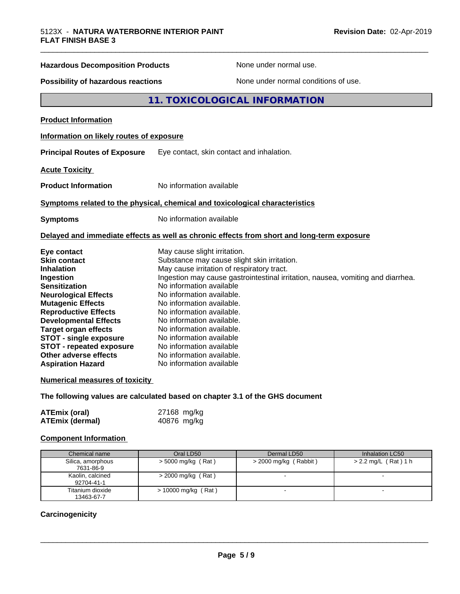### **Hazardous Decomposition Products** None under normal use.

**Possibility of hazardous reactions** None under normal conditions of use.

### **11. TOXICOLOGICAL INFORMATION**

**Product Information**

### **Information on likely routes of exposure**

**Principal Routes of Exposure** Eye contact, skin contact and inhalation.

**Acute Toxicity** 

**Product Information** No information available

### **Symptoms related to the physical,chemical and toxicological characteristics**

**Symptoms** No information available

### **Delayed and immediate effects as well as chronic effects from short and long-term exposure**

| Eye contact                     | May cause slight irritation.                                                    |
|---------------------------------|---------------------------------------------------------------------------------|
| <b>Skin contact</b>             | Substance may cause slight skin irritation.                                     |
| <b>Inhalation</b>               | May cause irritation of respiratory tract.                                      |
| Ingestion                       | Ingestion may cause gastrointestinal irritation, nausea, vomiting and diarrhea. |
| <b>Sensitization</b>            | No information available                                                        |
| <b>Neurological Effects</b>     | No information available.                                                       |
| <b>Mutagenic Effects</b>        | No information available.                                                       |
| <b>Reproductive Effects</b>     | No information available.                                                       |
| <b>Developmental Effects</b>    | No information available.                                                       |
| <b>Target organ effects</b>     | No information available.                                                       |
| <b>STOT - single exposure</b>   | No information available                                                        |
| <b>STOT - repeated exposure</b> | No information available                                                        |
| Other adverse effects           | No information available.                                                       |
| <b>Aspiration Hazard</b>        | No information available                                                        |

### **Numerical measures of toxicity**

**The following values are calculated based on chapter 3.1 of the GHS document**

| <b>ATEmix (oral)</b>   | 27168 mg/kg |  |
|------------------------|-------------|--|
| <b>ATEmix (dermal)</b> | 40876 mg/kg |  |

### **Component Information**

| Chemical name                  | Oral LD50             | Dermal LD50             | Inhalation LC50        |
|--------------------------------|-----------------------|-------------------------|------------------------|
| Silica, amorphous<br>7631-86-9 | $>$ 5000 mg/kg (Rat)  | $>$ 2000 mg/kg (Rabbit) | $> 2.2$ mg/L (Rat) 1 h |
| Kaolin, calcined<br>92704-41-1 | $>$ 2000 mg/kg (Rat)  |                         |                        |
| Titanium dioxide<br>13463-67-7 | $> 10000$ mg/kg (Rat) |                         |                        |

### **Carcinogenicity**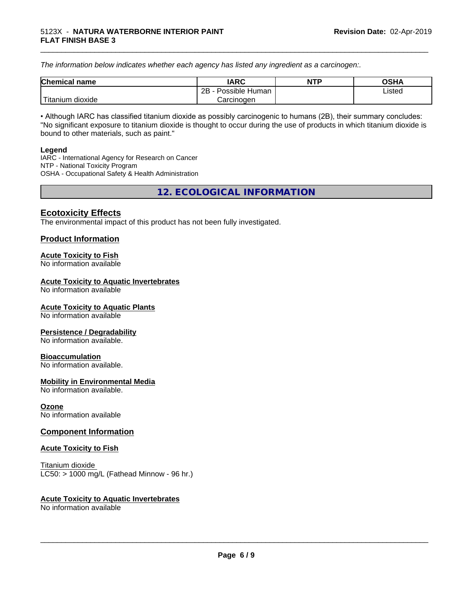*The information below indicateswhether each agency has listed any ingredient as a carcinogen:.*

| <b>Chemical</b><br>name  | <b>IARC</b>                    | <b>NTP</b> | <b>OSHA</b> |
|--------------------------|--------------------------------|------------|-------------|
|                          | . .<br>2B<br>Possible<br>Human |            | Listed<br>. |
| .<br>dioxide<br>⊺itanium | Carcinogen                     |            |             |

\_\_\_\_\_\_\_\_\_\_\_\_\_\_\_\_\_\_\_\_\_\_\_\_\_\_\_\_\_\_\_\_\_\_\_\_\_\_\_\_\_\_\_\_\_\_\_\_\_\_\_\_\_\_\_\_\_\_\_\_\_\_\_\_\_\_\_\_\_\_\_\_\_\_\_\_\_\_\_\_\_\_\_\_\_\_\_\_\_\_\_\_\_

• Although IARC has classified titanium dioxide as possibly carcinogenic to humans (2B), their summary concludes: "No significant exposure to titanium dioxide is thought to occur during the use of products in which titanium dioxide is bound to other materials, such as paint."

### **Legend**

IARC - International Agency for Research on Cancer NTP - National Toxicity Program OSHA - Occupational Safety & Health Administration

**12. ECOLOGICAL INFORMATION**

### **Ecotoxicity Effects**

The environmental impact of this product has not been fully investigated.

### **Product Information**

### **Acute Toxicity to Fish**

No information available

### **Acute Toxicity to Aquatic Invertebrates**

No information available

### **Acute Toxicity to Aquatic Plants**

No information available

### **Persistence / Degradability**

No information available.

### **Bioaccumulation**

No information available.

### **Mobility in Environmental Media**

No information available.

### **Ozone**

No information available

### **Component Information**

### **Acute Toxicity to Fish**

Titanium dioxide  $LC50:$  > 1000 mg/L (Fathead Minnow - 96 hr.)

### **Acute Toxicity to Aquatic Invertebrates**

No information available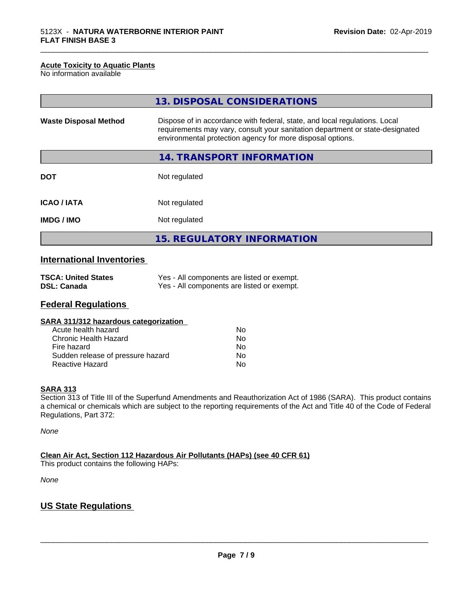### **Acute Toxicity to Aquatic Plants**

No information available

|                              | 13. DISPOSAL CONSIDERATIONS                                                                                                                                                                                               |
|------------------------------|---------------------------------------------------------------------------------------------------------------------------------------------------------------------------------------------------------------------------|
| <b>Waste Disposal Method</b> | Dispose of in accordance with federal, state, and local regulations. Local<br>requirements may vary, consult your sanitation department or state-designated<br>environmental protection agency for more disposal options. |
|                              | 14. TRANSPORT INFORMATION                                                                                                                                                                                                 |
| <b>DOT</b>                   | Not regulated                                                                                                                                                                                                             |
| <b>ICAO / IATA</b>           | Not regulated                                                                                                                                                                                                             |
| <b>IMDG/IMO</b>              | Not regulated                                                                                                                                                                                                             |
|                              | <b>15. REGULATORY INFORMATION</b>                                                                                                                                                                                         |

\_\_\_\_\_\_\_\_\_\_\_\_\_\_\_\_\_\_\_\_\_\_\_\_\_\_\_\_\_\_\_\_\_\_\_\_\_\_\_\_\_\_\_\_\_\_\_\_\_\_\_\_\_\_\_\_\_\_\_\_\_\_\_\_\_\_\_\_\_\_\_\_\_\_\_\_\_\_\_\_\_\_\_\_\_\_\_\_\_\_\_\_\_

## **International Inventories**

| <b>TSCA: United States</b> | Yes - All components are listed or exempt. |
|----------------------------|--------------------------------------------|
| <b>DSL: Canada</b>         | Yes - All components are listed or exempt. |

### **Federal Regulations**

| SARA 311/312 hazardous categorization |    |  |
|---------------------------------------|----|--|
| Acute health hazard                   | Nο |  |
| Chronic Health Hazard                 | Nο |  |

| Chronic Health Hazard             | NΩ |
|-----------------------------------|----|
| Fire hazard                       | Nο |
| Sudden release of pressure hazard | Nο |
| Reactive Hazard                   | Nο |

### **SARA 313**

Section 313 of Title III of the Superfund Amendments and Reauthorization Act of 1986 (SARA). This product contains a chemical or chemicals which are subject to the reporting requirements of the Act and Title 40 of the Code of Federal Regulations, Part 372:

*None*

**Clean Air Act,Section 112 Hazardous Air Pollutants (HAPs) (see 40 CFR 61)**

This product contains the following HAPs:

*None*

### **US State Regulations**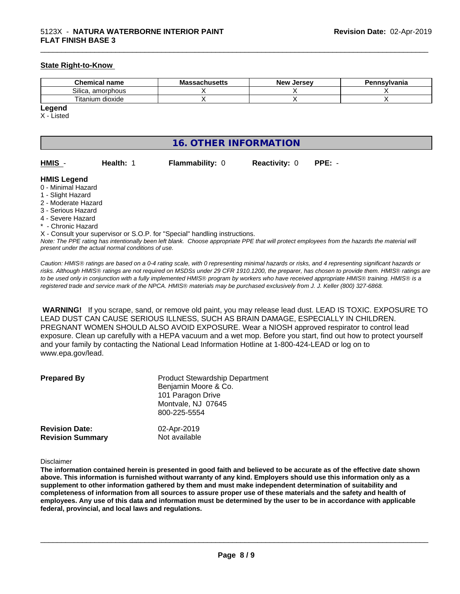### **State Right-to-Know**

| <b>Chemical</b><br>name              | - -<br>ма<br>nuscus<br>. | Jersev<br><b>NIOV</b> | Pennsylvania |
|--------------------------------------|--------------------------|-----------------------|--------------|
| $\sim \cdots$<br>amorphous<br>Silica |                          |                       |              |
| --<br>itanium<br>dioxide             |                          |                       |              |

**Legend**

X - Listed

## **16. OTHER INFORMATION**

| HMIS | <b>Health: 1</b> | <b>Flammability: 0</b> | <b>Reactivity: 0</b> |  |
|------|------------------|------------------------|----------------------|--|

\_\_\_\_\_\_\_\_\_\_\_\_\_\_\_\_\_\_\_\_\_\_\_\_\_\_\_\_\_\_\_\_\_\_\_\_\_\_\_\_\_\_\_\_\_\_\_\_\_\_\_\_\_\_\_\_\_\_\_\_\_\_\_\_\_\_\_\_\_\_\_\_\_\_\_\_\_\_\_\_\_\_\_\_\_\_\_\_\_\_\_\_\_

**HMIS Legend**

- 0 Minimal Hazard
- 1 Slight Hazard
- 2 Moderate Hazard
- 3 Serious Hazard
- 4 Severe Hazard
- <sup>\*</sup> Chronic Hazard
- X Consult your supervisor or S.O.P. for "Special" handling instructions.

*Note: The PPE rating has intentionally been left blank. Choose appropriate PPE that will protect employees from the hazards the material will present under the actual normal conditions of use.*

*Caution: HMISÒ ratings are based on a 0-4 rating scale, with 0 representing minimal hazards or risks, and 4 representing significant hazards or risks. Although HMISÒ ratings are not required on MSDSs under 29 CFR 1910.1200, the preparer, has chosen to provide them. HMISÒ ratings are to be used only in conjunction with a fully implemented HMISÒ program by workers who have received appropriate HMISÒ training. HMISÒ is a registered trade and service mark of the NPCA. HMISÒ materials may be purchased exclusively from J. J. Keller (800) 327-6868.*

 **WARNING!** If you scrape, sand, or remove old paint, you may release lead dust. LEAD IS TOXIC. EXPOSURE TO LEAD DUST CAN CAUSE SERIOUS ILLNESS, SUCH AS BRAIN DAMAGE, ESPECIALLY IN CHILDREN. PREGNANT WOMEN SHOULD ALSO AVOID EXPOSURE.Wear a NIOSH approved respirator to control lead exposure. Clean up carefully with a HEPA vacuum and a wet mop. Before you start, find out how to protect yourself and your family by contacting the National Lead Information Hotline at 1-800-424-LEAD or log on to www.epa.gov/lead.

| <b>Prepared By</b>                               | <b>Product Stewardship Department</b><br>Benjamin Moore & Co.<br>101 Paragon Drive<br>Montvale, NJ 07645<br>800-225-5554 |  |
|--------------------------------------------------|--------------------------------------------------------------------------------------------------------------------------|--|
| <b>Revision Date:</b><br><b>Revision Summary</b> | 02-Apr-2019<br>Not available                                                                                             |  |

### Disclaimer

The information contained herein is presented in good faith and believed to be accurate as of the effective date shown above. This information is furnished without warranty of any kind. Employers should use this information only as a **supplement to other information gathered by them and must make independent determination of suitability and** completeness of information from all sources to assure proper use of these materials and the safety and health of employees. Any use of this data and information must be determined by the user to be in accordance with applicable **federal, provincial, and local laws and regulations.**